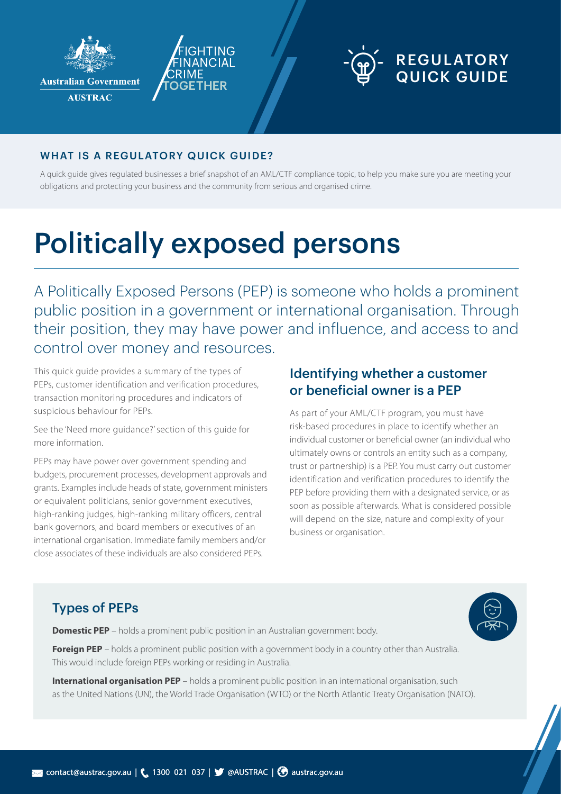

**Australian Government** 

**AUSTRAC** 



#### WHAT IS A REGULATORY QUICK GUIDE?

A quick guide gives regulated businesses a brief snapshot of an AML/CTF compliance topic, to help you make sure you are meeting your obligations and protecting your business and the community from serious and organised crime.

# Politically exposed persons

A Politically Exposed Persons (PEP) is someone who holds a prominent public position in a government or international organisation. Through their position, they may have power and influence, and access to and control over money and resources.

This quick guide provides a summary of the types of PEPs, customer identification and verification procedures, transaction monitoring procedures and indicators of suspicious behaviour for PEPs.

See the 'Need more guidance?' section of this guide for more information.

PEPs may have power over government spending and budgets, procurement processes, development approvals and grants. Examples include heads of state, government ministers or equivalent politicians, senior government executives, high-ranking judges, high-ranking military officers, central bank governors, and board members or executives of an international organisation. Immediate family members and/or close associates of these individuals are also considered PEPs.

#### Identifying whether a customer or beneficial owner is a PEP

As part of your AML/CTF program, you must have risk-based procedures in place to identify whether an individual customer or beneficial owner (an individual who ultimately owns or controls an entity such as a company, trust or partnership) is a PEP. You must carry out customer identification and verification procedures to identify the PEP before providing them with a designated service, or as soon as possible afterwards. What is considered possible will depend on the size, nature and complexity of your business or organisation.

## Types of PEPs

**Domestic PEP** – holds a prominent public position in an Australian government body.

**Foreign PEP** – holds a prominent public position with a government body in a country other than Australia. This would include foreign PEPs working or residing in Australia.

**International organisation PEP** – holds a prominent public position in an international organisation, such as the United Nations (UN), the World Trade Organisation (WTO) or the North Atlantic Treaty Organisation (NATO).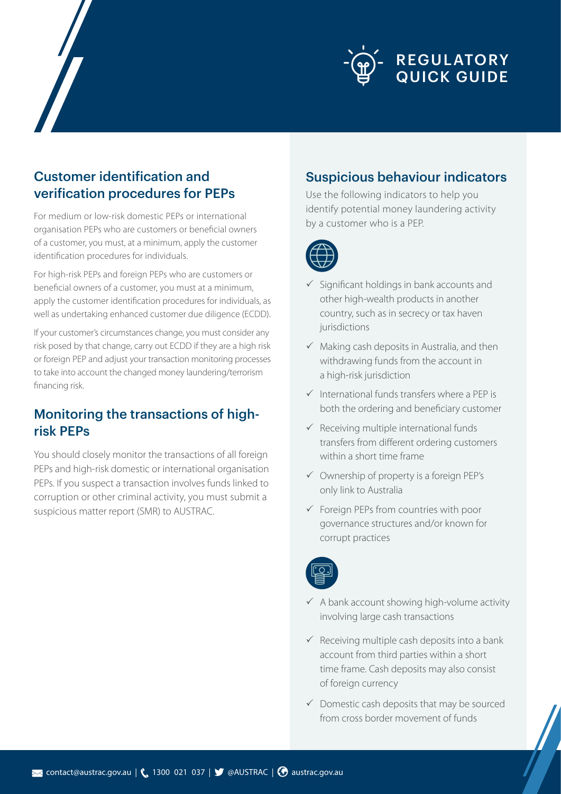

#### Customer identification and verification procedures for PEPs

For medium or low-risk domestic PEPs or international organisation PEPs who are customers or beneficial owners of a customer, you must, at a minimum, apply the customer identification procedures for individuals.

For high-risk PEPs and foreign PEPs who are customers or beneficial owners of a customer, you must at a minimum, apply the customer identification procedures for individuals, as well as undertaking enhanced customer due diligence (ECDD).

If your customer's circumstances change, you must consider any risk posed by that change, carry out ECDD if they are a high risk or foreign PEP and adjust your transaction monitoring processes to take into account the changed money laundering/terrorism financing risk.

### Monitoring the transactions of highrisk PEPs

You should closely monitor the transactions of all foreign PEPs and high-risk domestic or international organisation PEPs. If you suspect a transaction involves funds linked to corruption or other criminal activity, you must submit a suspicious matter report (SMR) to AUSTRAC.

#### Suspicious behaviour indicators

Use the following indicators to help you identify potential money laundering activity by a customer who is a PEP.



- $\checkmark$  Significant holdings in bank accounts and other high-wealth products in another country, such as in secrecy or tax haven jurisdictions
- $\checkmark$  Making cash deposits in Australia, and then withdrawing funds from the account in a high-risk jurisdiction
- $\checkmark$  International funds transfers where a PEP is both the ordering and beneficiary customer
- $\checkmark$  Receiving multiple international funds transfers from different ordering customers within a short time frame
- $\checkmark$  Ownership of property is a foreign PEP's only link to Australia
- $\checkmark$  Foreign PEPs from countries with poor governance structures and/or known for corrupt practices



- $\checkmark$  A bank account showing high-volume activity involving large cash transactions
- $\checkmark$  Receiving multiple cash deposits into a bank account from third parties within a short time frame. Cash deposits may also consist of foreign currency
- $\checkmark$  Domestic cash deposits that may be sourced from cross border movement of funds